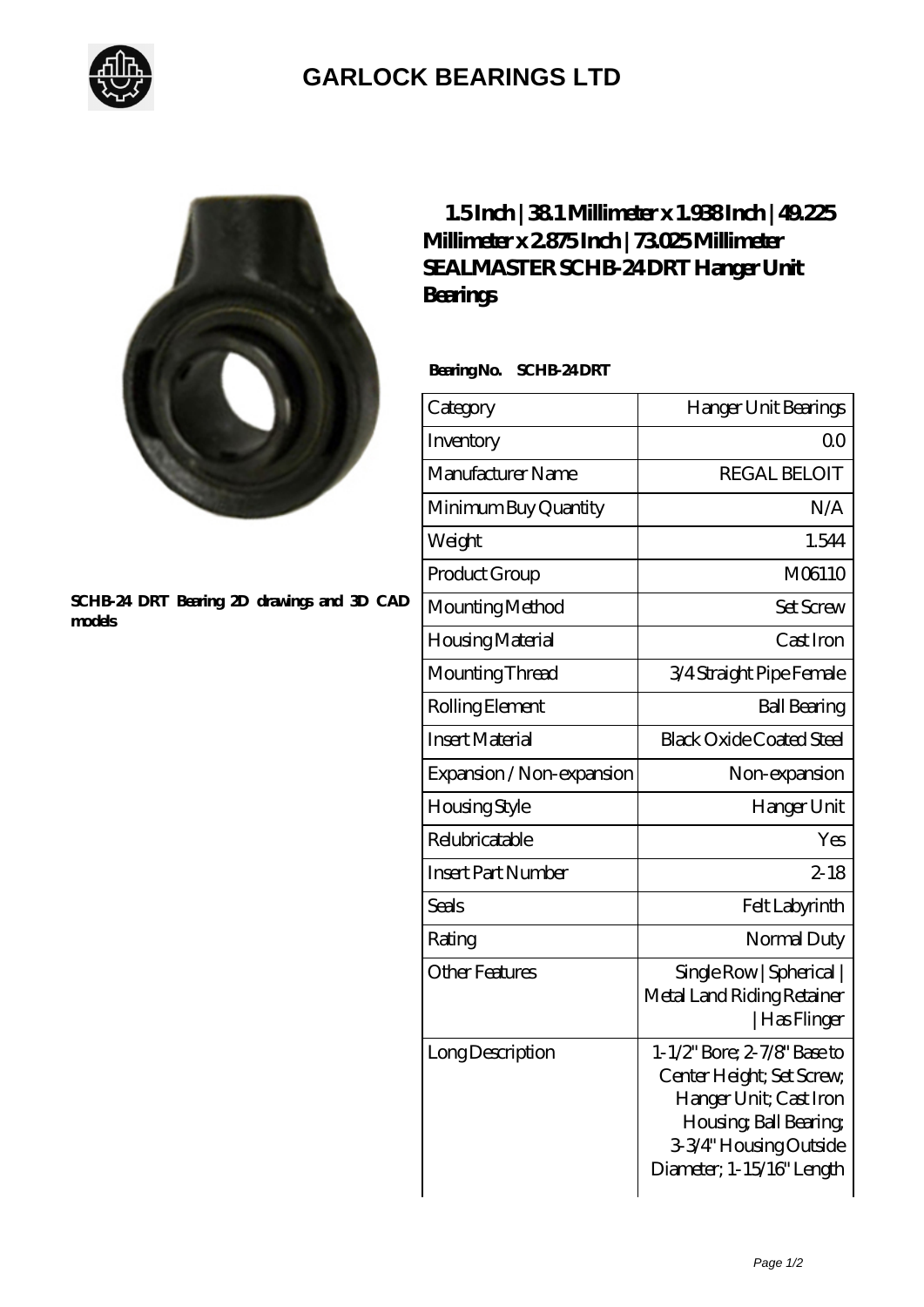

## **[GARLOCK BEARINGS LTD](https://m.letterstopriests.com)**



## **[SCHB-24 DRT Bearing 2D drawings and 3D CAD](https://m.letterstopriests.com/pic-189231.html) [models](https://m.letterstopriests.com/pic-189231.html)**

## **[1.5 Inch | 38.1 Millimeter x 1.938 Inch | 49.225](https://m.letterstopriests.com/by-189231-sealmaster-schb-24-drt-hanger-unit-bearings.html) [Millimeter x 2.875 Inch | 73.025 Millimeter](https://m.letterstopriests.com/by-189231-sealmaster-schb-24-drt-hanger-unit-bearings.html) [SEALMASTER SCHB-24 DRT Hanger Unit](https://m.letterstopriests.com/by-189231-sealmaster-schb-24-drt-hanger-unit-bearings.html) [Bearings](https://m.letterstopriests.com/by-189231-sealmaster-schb-24-drt-hanger-unit-bearings.html)**

 **Bearing No. SCHB-24 DRT**

| Category                  | Hanger Unit Bearings                                                                                                                                                |
|---------------------------|---------------------------------------------------------------------------------------------------------------------------------------------------------------------|
| Inventory                 | 0 <sub>0</sub>                                                                                                                                                      |
| Manufacturer Name         | <b>REGAL BELOIT</b>                                                                                                                                                 |
| Minimum Buy Quantity      | N/A                                                                                                                                                                 |
| Weight                    | 1.544                                                                                                                                                               |
| Product Group             | M06110                                                                                                                                                              |
| Mounting Method           | <b>Set Screw</b>                                                                                                                                                    |
| Housing Material          | Cast Iron                                                                                                                                                           |
| Mounting Thread           | 3/4 Straight Pipe Female                                                                                                                                            |
| Rolling Element           | <b>Ball Bearing</b>                                                                                                                                                 |
| <b>Insert Material</b>    | <b>Black Oxide Coated Steel</b>                                                                                                                                     |
| Expansion / Non-expansion | Non-expansion                                                                                                                                                       |
| <b>Housing Style</b>      | Hanger Unit                                                                                                                                                         |
| Relubricatable            | Yes                                                                                                                                                                 |
| <b>Insert Part Number</b> | $2 - 18$                                                                                                                                                            |
| Seals                     | Felt Labyrinth                                                                                                                                                      |
| Rating                    | Normal Duty                                                                                                                                                         |
| <b>Other Features</b>     | Single Row   Spherical  <br>Metal Land Riding Retainer<br> Has Flinger                                                                                              |
| Long Description          | 1-1/2" Bore; 2-7/8" Base to<br>Center Height; Set Screw,<br>Hanger Unit; Cast Iron<br>Housing, Ball Bearing,<br>3-3/4" Housing Outside<br>Diameter; 1-15/16" Length |